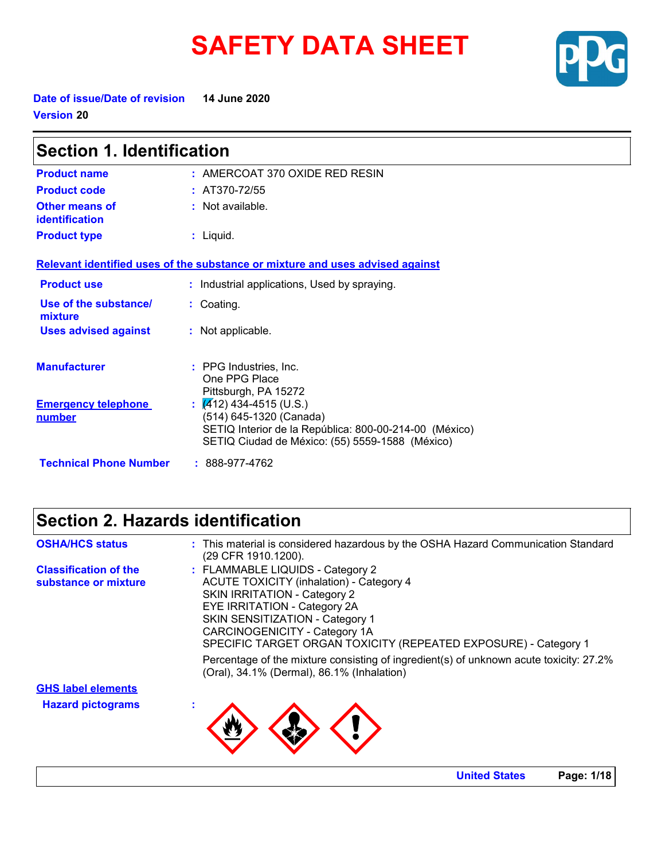# **SAFETY DATA SHEET**



**Date of issue/Date of revision 14 June 2020 Version 20**

| <b>Section 1. Identification</b>     |                                                                                                                                                                             |  |
|--------------------------------------|-----------------------------------------------------------------------------------------------------------------------------------------------------------------------------|--|
| <b>Product name</b>                  | $:$ AMERCOAT 370 OXIDE RED RESIN                                                                                                                                            |  |
| <b>Product code</b>                  | : $AT370-72/55$                                                                                                                                                             |  |
| Other means of<br>identification     | : Not available.                                                                                                                                                            |  |
| <b>Product type</b>                  | $:$ Liquid.                                                                                                                                                                 |  |
|                                      | Relevant identified uses of the substance or mixture and uses advised against                                                                                               |  |
| <b>Product use</b>                   | : Industrial applications, Used by spraying.                                                                                                                                |  |
| Use of the substance/<br>mixture     | : Coating.                                                                                                                                                                  |  |
| <b>Uses advised against</b>          | : Not applicable.                                                                                                                                                           |  |
| <b>Manufacturer</b>                  | : PPG Industries, Inc.<br>One PPG Place<br>Pittsburgh, PA 15272                                                                                                             |  |
| <b>Emergency telephone</b><br>number | $\frac{1}{2}$ (412) 434-4515 (U.S.)<br>(514) 645-1320 (Canada)<br>SETIQ Interior de la República: 800-00-214-00 (México)<br>SETIQ Ciudad de México: (55) 5559-1588 (México) |  |
| <b>Technical Phone Number</b>        | $: 888-977-4762$                                                                                                                                                            |  |

# **Section 2. Hazards identification**

| <b>OSHA/HCS status</b>       | : This material is considered hazardous by the OSHA Hazard Communication Standard<br>(29 CFR 1910.1200).                             |
|------------------------------|--------------------------------------------------------------------------------------------------------------------------------------|
| <b>Classification of the</b> | : FLAMMABLE LIQUIDS - Category 2                                                                                                     |
| substance or mixture         | <b>ACUTE TOXICITY (inhalation) - Category 4</b>                                                                                      |
|                              | <b>SKIN IRRITATION - Category 2</b>                                                                                                  |
|                              | <b>EYE IRRITATION - Category 2A</b>                                                                                                  |
|                              | <b>SKIN SENSITIZATION - Category 1</b>                                                                                               |
|                              | CARCINOGENICITY - Category 1A                                                                                                        |
|                              | SPECIFIC TARGET ORGAN TOXICITY (REPEATED EXPOSURE) - Category 1                                                                      |
|                              | Percentage of the mixture consisting of ingredient(s) of unknown acute toxicity: 27.2%<br>(Oral), 34.1% (Dermal), 86.1% (Inhalation) |
| <b>GHS label elements</b>    |                                                                                                                                      |
| <b>Hazard pictograms</b>     |                                                                                                                                      |
|                              |                                                                                                                                      |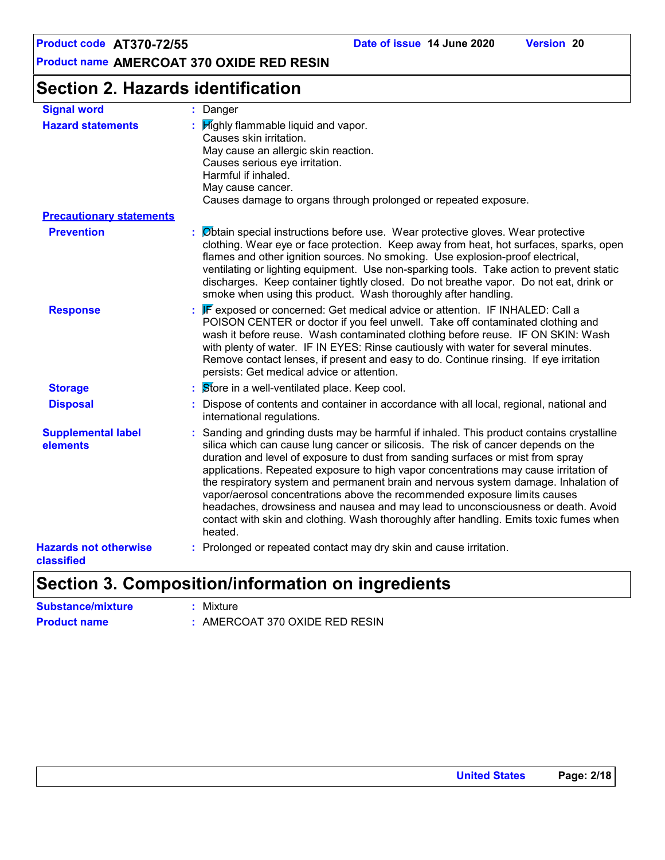# **Section 2. Hazards identification**

| <b>Signal word</b>                         | : Danger                                                                                                                                                                                                                                                                                                                                                                                                                                                                                                                                                                                                                                                                                                                |
|--------------------------------------------|-------------------------------------------------------------------------------------------------------------------------------------------------------------------------------------------------------------------------------------------------------------------------------------------------------------------------------------------------------------------------------------------------------------------------------------------------------------------------------------------------------------------------------------------------------------------------------------------------------------------------------------------------------------------------------------------------------------------------|
| <b>Hazard statements</b>                   | $\therefore$ $\mathsf{High}$ if ammable liquid and vapor.<br>Causes skin irritation.<br>May cause an allergic skin reaction.<br>Causes serious eye irritation.<br>Harmful if inhaled.<br>May cause cancer.<br>Causes damage to organs through prolonged or repeated exposure.                                                                                                                                                                                                                                                                                                                                                                                                                                           |
| <b>Precautionary statements</b>            |                                                                                                                                                                                                                                                                                                                                                                                                                                                                                                                                                                                                                                                                                                                         |
| <b>Prevention</b>                          | : Øbtain special instructions before use. Wear protective gloves. Wear protective<br>clothing. Wear eye or face protection. Keep away from heat, hot surfaces, sparks, open<br>flames and other ignition sources. No smoking. Use explosion-proof electrical,<br>ventilating or lighting equipment. Use non-sparking tools. Take action to prevent static<br>discharges. Keep container tightly closed. Do not breathe vapor. Do not eat, drink or<br>smoke when using this product. Wash thoroughly after handling.                                                                                                                                                                                                    |
| <b>Response</b>                            | : F exposed or concerned: Get medical advice or attention. IF INHALED: Call a<br>POISON CENTER or doctor if you feel unwell. Take off contaminated clothing and<br>wash it before reuse. Wash contaminated clothing before reuse. IF ON SKIN: Wash<br>with plenty of water. IF IN EYES: Rinse cautiously with water for several minutes.<br>Remove contact lenses, if present and easy to do. Continue rinsing. If eye irritation<br>persists: Get medical advice or attention.                                                                                                                                                                                                                                         |
| <b>Storage</b>                             | : Store in a well-ventilated place. Keep cool.                                                                                                                                                                                                                                                                                                                                                                                                                                                                                                                                                                                                                                                                          |
| <b>Disposal</b>                            | : Dispose of contents and container in accordance with all local, regional, national and<br>international regulations.                                                                                                                                                                                                                                                                                                                                                                                                                                                                                                                                                                                                  |
| <b>Supplemental label</b><br>elements      | : Sanding and grinding dusts may be harmful if inhaled. This product contains crystalline<br>silica which can cause lung cancer or silicosis. The risk of cancer depends on the<br>duration and level of exposure to dust from sanding surfaces or mist from spray<br>applications. Repeated exposure to high vapor concentrations may cause irritation of<br>the respiratory system and permanent brain and nervous system damage. Inhalation of<br>vapor/aerosol concentrations above the recommended exposure limits causes<br>headaches, drowsiness and nausea and may lead to unconsciousness or death. Avoid<br>contact with skin and clothing. Wash thoroughly after handling. Emits toxic fumes when<br>heated. |
| <b>Hazards not otherwise</b><br>classified | : Prolonged or repeated contact may dry skin and cause irritation.                                                                                                                                                                                                                                                                                                                                                                                                                                                                                                                                                                                                                                                      |

### **Section 3. Composition/information on ingredients**

**Substance/mixture :** Mixture **Product name :** AMERCOAT 370 OXIDE RED RESIN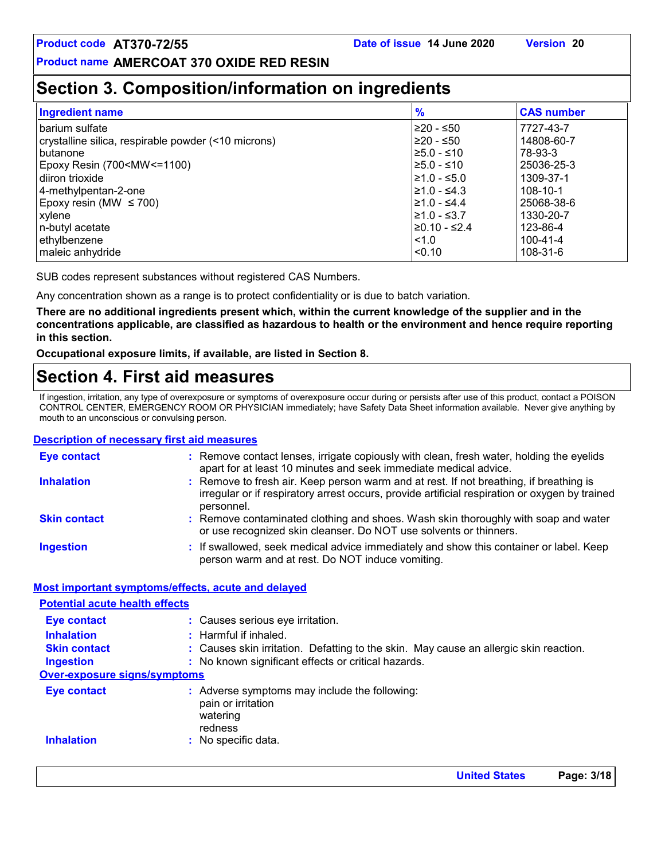# **Section 3. Composition/information on ingredients**

| <b>Ingredient name</b>                                                                  | $\frac{9}{6}$  | <b>CAS number</b> |
|-----------------------------------------------------------------------------------------|----------------|-------------------|
| barium sulfate                                                                          | l≥20 - ≤50     | 7727-43-7         |
| crystalline silica, respirable powder (<10 microns)                                     | 220 - ≤50      | 14808-60-7        |
| butanone                                                                                | $≥5.0 - ≤10$   | 78-93-3           |
| Epoxy Resin (700 <mw<=1100)< td=""><td>l≥5.0 - ≤10</td><td>25036-25-3</td></mw<=1100)<> | l≥5.0 - ≤10    | 25036-25-3        |
| diiron trioxide                                                                         | ≥1.0 - ≤5.0    | 1309-37-1         |
| 4-methylpentan-2-one                                                                    | l≥1.0 - ≤4.3   | 108-10-1          |
| Epoxy resin (MW $\leq 700$ )                                                            | l≥1.0 - ≤4.4   | 25068-38-6        |
| xylene                                                                                  | l≥1.0 - ≤3.7   | 1330-20-7         |
| n-butyl acetate                                                                         | $≥0.10 - ≤2.4$ | 123-86-4          |
| ethylbenzene                                                                            | 1.0            | 100-41-4          |
| maleic anhydride                                                                        | < 0.10         | 108-31-6          |

SUB codes represent substances without registered CAS Numbers.

Any concentration shown as a range is to protect confidentiality or is due to batch variation.

**There are no additional ingredients present which, within the current knowledge of the supplier and in the concentrations applicable, are classified as hazardous to health or the environment and hence require reporting in this section.**

**Occupational exposure limits, if available, are listed in Section 8.**

# **Section 4. First aid measures**

If ingestion, irritation, any type of overexposure or symptoms of overexposure occur during or persists after use of this product, contact a POISON CONTROL CENTER, EMERGENCY ROOM OR PHYSICIAN immediately; have Safety Data Sheet information available. Never give anything by mouth to an unconscious or convulsing person.

#### **Description of necessary first aid measures**

| <b>Eye contact</b>                                 | : Remove contact lenses, irrigate copiously with clean, fresh water, holding the eyelids<br>apart for at least 10 minutes and seek immediate medical advice.                                           |  |
|----------------------------------------------------|--------------------------------------------------------------------------------------------------------------------------------------------------------------------------------------------------------|--|
| <b>Inhalation</b>                                  | : Remove to fresh air. Keep person warm and at rest. If not breathing, if breathing is<br>irregular or if respiratory arrest occurs, provide artificial respiration or oxygen by trained<br>personnel. |  |
| <b>Skin contact</b>                                | : Remove contaminated clothing and shoes. Wash skin thoroughly with soap and water<br>or use recognized skin cleanser. Do NOT use solvents or thinners.                                                |  |
| <b>Ingestion</b>                                   | : If swallowed, seek medical advice immediately and show this container or label. Keep<br>person warm and at rest. Do NOT induce vomiting.                                                             |  |
| Most important symptoms/effects, acute and delayed |                                                                                                                                                                                                        |  |

| <b>Potential acute health effects</b> |                                                                                            |  |  |
|---------------------------------------|--------------------------------------------------------------------------------------------|--|--|
| <b>Eye contact</b>                    | : Causes serious eye irritation.                                                           |  |  |
| <b>Inhalation</b>                     | $:$ Harmful if inhaled.                                                                    |  |  |
| <b>Skin contact</b>                   | : Causes skin irritation. Defatting to the skin. May cause an allergic skin reaction.      |  |  |
| <b>Ingestion</b>                      | : No known significant effects or critical hazards.                                        |  |  |
| <b>Over-exposure signs/symptoms</b>   |                                                                                            |  |  |
| <b>Eye contact</b>                    | : Adverse symptoms may include the following:<br>pain or irritation<br>watering<br>redness |  |  |
| <b>Inhalation</b>                     | $:$ No specific data.                                                                      |  |  |

**United States Page: 3/18**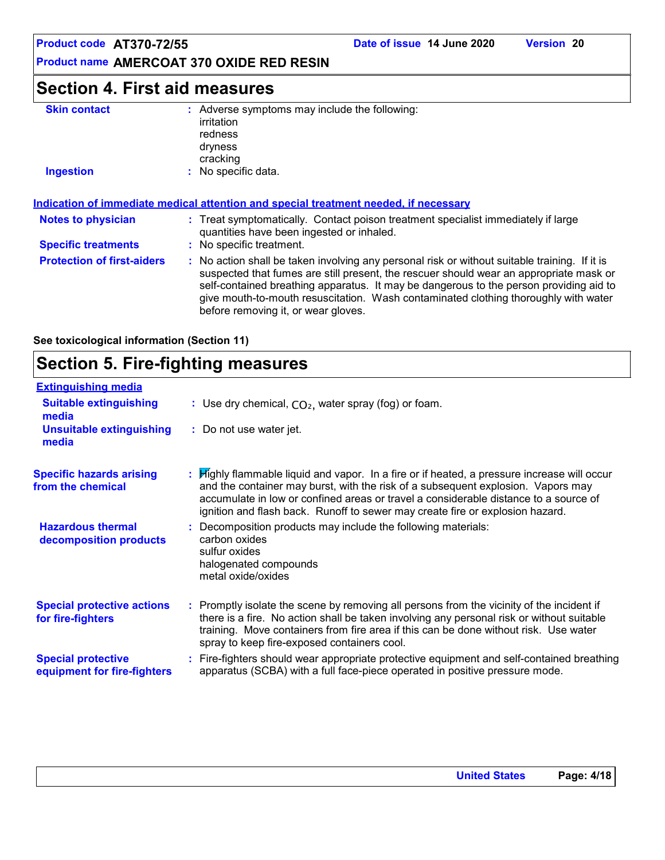**Product name AMERCOAT 370 OXIDE RED RESIN**

# **Section 4. First aid measures**

| <b>Skin contact</b>               | : Adverse symptoms may include the following:<br>irritation<br>redness<br>dryness<br>cracking                                                                                                                                                                                                                                                                                                                   |
|-----------------------------------|-----------------------------------------------------------------------------------------------------------------------------------------------------------------------------------------------------------------------------------------------------------------------------------------------------------------------------------------------------------------------------------------------------------------|
| <b>Ingestion</b>                  | : No specific data.                                                                                                                                                                                                                                                                                                                                                                                             |
| <b>Notes to physician</b>         | Indication of immediate medical attention and special treatment needed, if necessary<br>: Treat symptomatically. Contact poison treatment specialist immediately if large                                                                                                                                                                                                                                       |
| <b>Specific treatments</b>        | quantities have been ingested or inhaled.<br>No specific treatment.                                                                                                                                                                                                                                                                                                                                             |
| <b>Protection of first-aiders</b> | : No action shall be taken involving any personal risk or without suitable training. If it is<br>suspected that fumes are still present, the rescuer should wear an appropriate mask or<br>self-contained breathing apparatus. It may be dangerous to the person providing aid to<br>give mouth-to-mouth resuscitation. Wash contaminated clothing thoroughly with water<br>before removing it, or wear gloves. |

**See toxicological information (Section 11)**

# **Section 5. Fire-fighting measures**

| <b>Extinguishing media</b>                               |                                                                                                                                                                                                                                                                                                                                                                      |
|----------------------------------------------------------|----------------------------------------------------------------------------------------------------------------------------------------------------------------------------------------------------------------------------------------------------------------------------------------------------------------------------------------------------------------------|
| <b>Suitable extinguishing</b><br>media                   | : Use dry chemical, $CO2$ , water spray (fog) or foam.                                                                                                                                                                                                                                                                                                               |
| <b>Unsuitable extinguishing</b><br>media                 | : Do not use water jet.                                                                                                                                                                                                                                                                                                                                              |
| <b>Specific hazards arising</b><br>from the chemical     | <b>If its Highly flammable liquid and vapor.</b> In a fire or if heated, a pressure increase will occur<br>and the container may burst, with the risk of a subsequent explosion. Vapors may<br>accumulate in low or confined areas or travel a considerable distance to a source of<br>ignition and flash back. Runoff to sewer may create fire or explosion hazard. |
| <b>Hazardous thermal</b><br>decomposition products       | Decomposition products may include the following materials:<br>carbon oxides<br>sulfur oxides<br>halogenated compounds<br>metal oxide/oxides                                                                                                                                                                                                                         |
| <b>Special protective actions</b><br>for fire-fighters   | : Promptly isolate the scene by removing all persons from the vicinity of the incident if<br>there is a fire. No action shall be taken involving any personal risk or without suitable<br>training. Move containers from fire area if this can be done without risk. Use water<br>spray to keep fire-exposed containers cool.                                        |
| <b>Special protective</b><br>equipment for fire-fighters | : Fire-fighters should wear appropriate protective equipment and self-contained breathing<br>apparatus (SCBA) with a full face-piece operated in positive pressure mode.                                                                                                                                                                                             |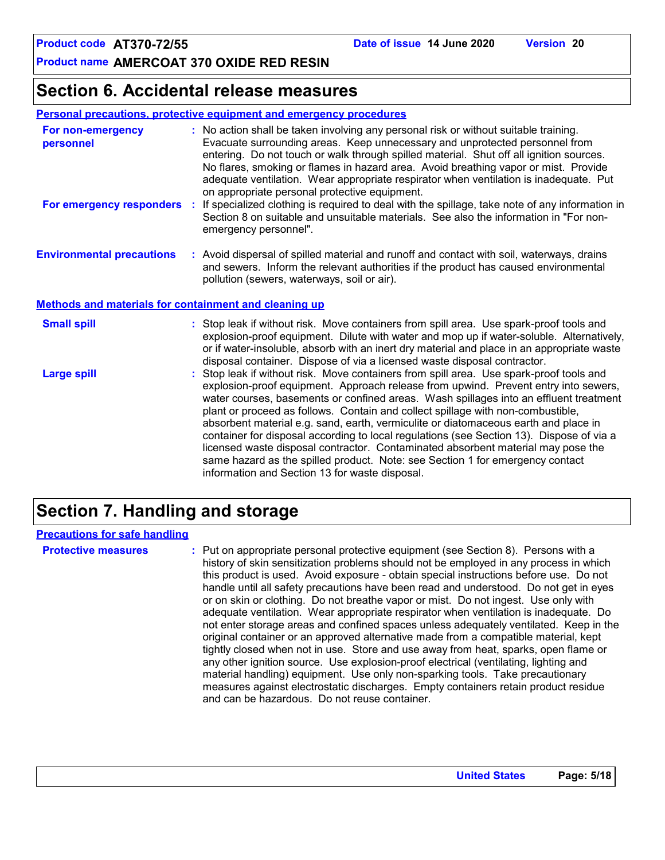### **Section 6. Accidental release measures**

#### **Personal precautions, protective equipment and emergency procedures**

| For non-emergency<br>personnel                        | : No action shall be taken involving any personal risk or without suitable training.<br>Evacuate surrounding areas. Keep unnecessary and unprotected personnel from<br>entering. Do not touch or walk through spilled material. Shut off all ignition sources.<br>No flares, smoking or flames in hazard area. Avoid breathing vapor or mist. Provide<br>adequate ventilation. Wear appropriate respirator when ventilation is inadequate. Put<br>on appropriate personal protective equipment.                                               |  |
|-------------------------------------------------------|-----------------------------------------------------------------------------------------------------------------------------------------------------------------------------------------------------------------------------------------------------------------------------------------------------------------------------------------------------------------------------------------------------------------------------------------------------------------------------------------------------------------------------------------------|--|
|                                                       | For emergency responders : If specialized clothing is required to deal with the spillage, take note of any information in<br>Section 8 on suitable and unsuitable materials. See also the information in "For non-<br>emergency personnel".                                                                                                                                                                                                                                                                                                   |  |
| <b>Environmental precautions</b>                      | : Avoid dispersal of spilled material and runoff and contact with soil, waterways, drains<br>and sewers. Inform the relevant authorities if the product has caused environmental<br>pollution (sewers, waterways, soil or air).                                                                                                                                                                                                                                                                                                               |  |
| Methods and materials for containment and cleaning up |                                                                                                                                                                                                                                                                                                                                                                                                                                                                                                                                               |  |
| <b>Small spill</b>                                    | : Stop leak if without risk. Move containers from spill area. Use spark-proof tools and<br>explosion-proof equipment. Dilute with water and mop up if water-soluble. Alternatively,<br>or if water-insoluble, absorb with an inert dry material and place in an appropriate waste<br>disposal container. Dispose of via a licensed waste disposal contractor.                                                                                                                                                                                 |  |
| <b>Large spill</b>                                    | : Stop leak if without risk. Move containers from spill area. Use spark-proof tools and<br>explosion-proof equipment. Approach release from upwind. Prevent entry into sewers,<br>water courses, basements or confined areas. Wash spillages into an effluent treatment<br>plant or proceed as follows. Contain and collect spillage with non-combustible,<br>absorbent material e.g. sand, earth, vermiculite or diatomaceous earth and place in<br>container for disposal according to local regulations (see Section 13). Dispose of via a |  |

container for disposal according to local regulations (see Section 13). Dispose of via a licensed waste disposal contractor. Contaminated absorbent material may pose the same hazard as the spilled product. Note: see Section 1 for emergency contact information and Section 13 for waste disposal.

# **Section 7. Handling and storage**

#### **Precautions for safe handling**

**Protective measures the C**: Put on appropriate personal protective equipment (see Section 8). Persons with a **Protes** history of skin sensitization problems should not be employed in any process in which this product is used. Avoid exposure - obtain special instructions before use. Do not handle until all safety precautions have been read and understood. Do not get in eyes or on skin or clothing. Do not breathe vapor or mist. Do not ingest. Use only with adequate ventilation. Wear appropriate respirator when ventilation is inadequate. Do not enter storage areas and confined spaces unless adequately ventilated. Keep in the original container or an approved alternative made from a compatible material, kept tightly closed when not in use. Store and use away from heat, sparks, open flame or any other ignition source. Use explosion-proof electrical (ventilating, lighting and material handling) equipment. Use only non-sparking tools. Take precautionary measures against electrostatic discharges. Empty containers retain product residue and can be hazardous. Do not reuse container.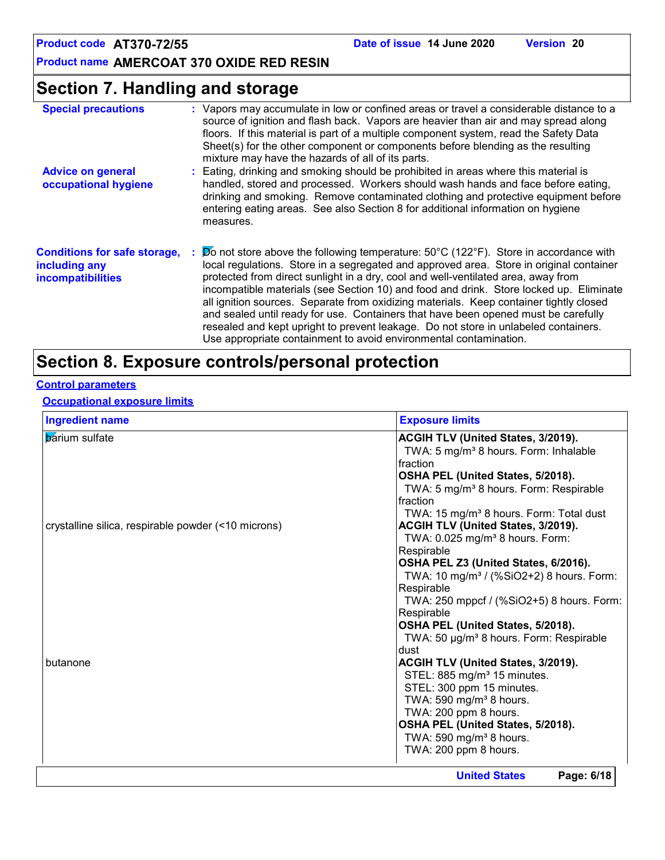# **Section 7. Handling and storage**

| <b>Special precautions</b>                                                       | : Vapors may accumulate in low or confined areas or travel a considerable distance to a<br>source of ignition and flash back. Vapors are heavier than air and may spread along<br>floors. If this material is part of a multiple component system, read the Safety Data<br>Sheet(s) for the other component or components before blending as the resulting<br>mixture may have the hazards of all of its parts.                                                                                                                                                                                                                                                                                                         |
|----------------------------------------------------------------------------------|-------------------------------------------------------------------------------------------------------------------------------------------------------------------------------------------------------------------------------------------------------------------------------------------------------------------------------------------------------------------------------------------------------------------------------------------------------------------------------------------------------------------------------------------------------------------------------------------------------------------------------------------------------------------------------------------------------------------------|
| <b>Advice on general</b><br>occupational hygiene                                 | : Eating, drinking and smoking should be prohibited in areas where this material is<br>handled, stored and processed. Workers should wash hands and face before eating,<br>drinking and smoking. Remove contaminated clothing and protective equipment before<br>entering eating areas. See also Section 8 for additional information on hygiene<br>measures.                                                                                                                                                                                                                                                                                                                                                           |
| <b>Conditions for safe storage,</b><br>including any<br><b>incompatibilities</b> | $\therefore$ Do not store above the following temperature: 50°C (122°F). Store in accordance with<br>local regulations. Store in a segregated and approved area. Store in original container<br>protected from direct sunlight in a dry, cool and well-ventilated area, away from<br>incompatible materials (see Section 10) and food and drink. Store locked up. Eliminate<br>all ignition sources. Separate from oxidizing materials. Keep container tightly closed<br>and sealed until ready for use. Containers that have been opened must be carefully<br>resealed and kept upright to prevent leakage. Do not store in unlabeled containers.<br>Use appropriate containment to avoid environmental contamination. |

# **Section 8. Exposure controls/personal protection**

### **Control parameters**

#### **Occupational exposure limits**

| <b>Ingredient name</b>                              | <b>Exposure limits</b>                               |
|-----------------------------------------------------|------------------------------------------------------|
| <b>b</b> arium sulfate                              | ACGIH TLV (United States, 3/2019).                   |
|                                                     | TWA: 5 mg/m <sup>3</sup> 8 hours. Form: Inhalable    |
|                                                     | fraction                                             |
|                                                     | OSHA PEL (United States, 5/2018).                    |
|                                                     | TWA: 5 mg/m <sup>3</sup> 8 hours. Form: Respirable   |
|                                                     | fraction                                             |
|                                                     | TWA: 15 mg/m <sup>3</sup> 8 hours. Form: Total dust  |
| crystalline silica, respirable powder (<10 microns) | ACGIH TLV (United States, 3/2019).                   |
|                                                     | TWA: 0.025 mg/m <sup>3</sup> 8 hours. Form:          |
|                                                     | Respirable                                           |
|                                                     | OSHA PEL Z3 (United States, 6/2016).                 |
|                                                     | TWA: 10 mg/m <sup>3</sup> / (%SiO2+2) 8 hours. Form: |
|                                                     | Respirable                                           |
|                                                     | TWA: 250 mppcf / (%SiO2+5) 8 hours. Form:            |
|                                                     | Respirable                                           |
|                                                     | OSHA PEL (United States, 5/2018).                    |
|                                                     | TWA: 50 µg/m <sup>3</sup> 8 hours. Form: Respirable  |
|                                                     | dust                                                 |
| butanone                                            | ACGIH TLV (United States, 3/2019).                   |
|                                                     | STEL: 885 mg/m <sup>3</sup> 15 minutes.              |
|                                                     | STEL: 300 ppm 15 minutes.                            |
|                                                     | TWA: 590 mg/m <sup>3</sup> 8 hours.                  |
|                                                     | TWA: 200 ppm 8 hours.                                |
|                                                     | OSHA PEL (United States, 5/2018).                    |
|                                                     | TWA: 590 mg/m <sup>3</sup> 8 hours.                  |
|                                                     | TWA: 200 ppm 8 hours.                                |
|                                                     | Page: 6/18<br><b>United States</b>                   |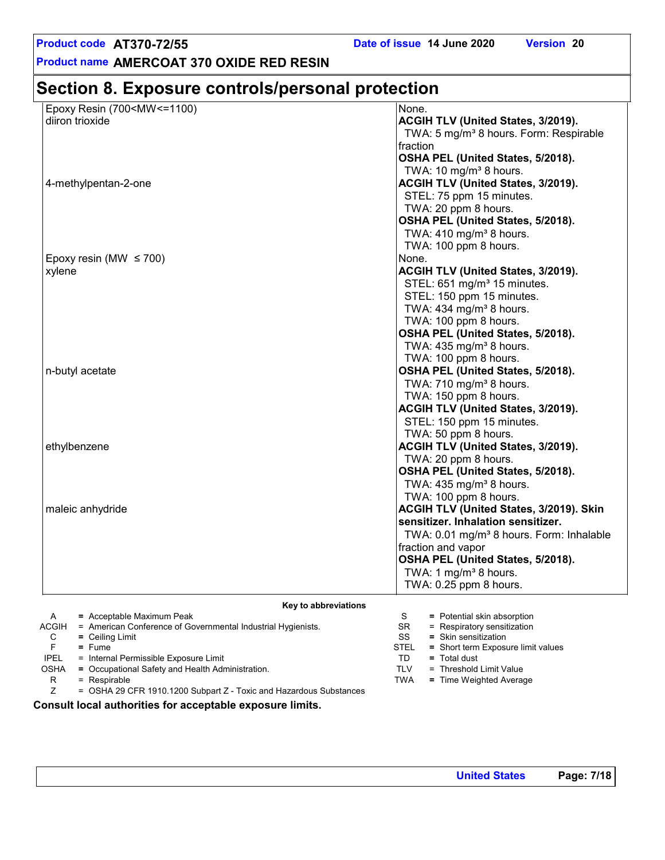**Product name AMERCOAT 370 OXIDE RED RESIN**

# **Section 8. Exposure controls/personal protection**

| Epoxy Resin (700 <mw<=1100)< th=""><th>None.</th></mw<=1100)<> | None.                                                |
|----------------------------------------------------------------|------------------------------------------------------|
| diiron trioxide                                                | ACGIH TLV (United States, 3/2019).                   |
|                                                                | TWA: 5 mg/m <sup>3</sup> 8 hours. Form: Respirable   |
|                                                                | fraction                                             |
|                                                                | OSHA PEL (United States, 5/2018).                    |
|                                                                | TWA: 10 mg/m <sup>3</sup> 8 hours.                   |
| 4-methylpentan-2-one                                           | <b>ACGIH TLV (United States, 3/2019).</b>            |
|                                                                | STEL: 75 ppm 15 minutes.                             |
|                                                                | TWA: 20 ppm 8 hours.                                 |
|                                                                | OSHA PEL (United States, 5/2018).                    |
|                                                                | TWA: $410$ mg/m <sup>3</sup> 8 hours.                |
|                                                                | TWA: 100 ppm 8 hours.                                |
| Epoxy resin (MW $\leq$ 700)                                    | None.                                                |
| xylene                                                         | ACGIH TLV (United States, 3/2019).                   |
|                                                                | STEL: 651 mg/m <sup>3</sup> 15 minutes.              |
|                                                                | STEL: 150 ppm 15 minutes.                            |
|                                                                | TWA: $434$ mg/m <sup>3</sup> 8 hours.                |
|                                                                | TWA: 100 ppm 8 hours.                                |
|                                                                | OSHA PEL (United States, 5/2018).                    |
|                                                                | TWA: 435 mg/m <sup>3</sup> 8 hours.                  |
|                                                                | TWA: 100 ppm 8 hours.                                |
| n-butyl acetate                                                | OSHA PEL (United States, 5/2018).                    |
|                                                                | TWA: 710 mg/m <sup>3</sup> 8 hours.                  |
|                                                                | TWA: 150 ppm 8 hours.                                |
|                                                                | <b>ACGIH TLV (United States, 3/2019).</b>            |
|                                                                | STEL: 150 ppm 15 minutes.                            |
|                                                                | TWA: 50 ppm 8 hours.                                 |
| ethylbenzene                                                   | <b>ACGIH TLV (United States, 3/2019).</b>            |
|                                                                | TWA: 20 ppm 8 hours.                                 |
|                                                                | OSHA PEL (United States, 5/2018).                    |
|                                                                | TWA: 435 mg/m <sup>3</sup> 8 hours.                  |
|                                                                | TWA: 100 ppm 8 hours.                                |
| maleic anhydride                                               | ACGIH TLV (United States, 3/2019). Skin              |
|                                                                | sensitizer. Inhalation sensitizer.                   |
|                                                                | TWA: 0.01 mg/m <sup>3</sup> 8 hours. Form: Inhalable |
|                                                                | fraction and vapor                                   |
|                                                                | OSHA PEL (United States, 5/2018).                    |
|                                                                | TWA: 1 mg/m <sup>3</sup> 8 hours.                    |
|                                                                | TWA: 0.25 ppm 8 hours.                               |
|                                                                |                                                      |

**Key to abbreviations**

| A           | $=$ Acceptable Maximum Peak                                        |             | $=$ Potential skin absorption      |
|-------------|--------------------------------------------------------------------|-------------|------------------------------------|
|             | ACGIH = American Conference of Governmental Industrial Hygienists. | SR.         | $=$ Respiratory sensitization      |
| С           | $=$ Ceiling Limit                                                  | SS          | $=$ Skin sensitization             |
|             | $=$ Fume                                                           | <b>STEL</b> | = Short term Exposure limit values |
| <b>IPEL</b> | = Internal Permissible Exposure Limit                              | TD          | $=$ Total dust                     |
| <b>OSHA</b> | = Occupational Safety and Health Administration.                   | TLV         | = Threshold Limit Value            |
| R           | $=$ Respirable                                                     | TWA         | = Time Weighted Average            |
|             | = OSHA 29 CFR 1910.1200 Subpart Z - Toxic and Hazardous Substances |             |                                    |

**Consult local authorities for acceptable exposure limits.**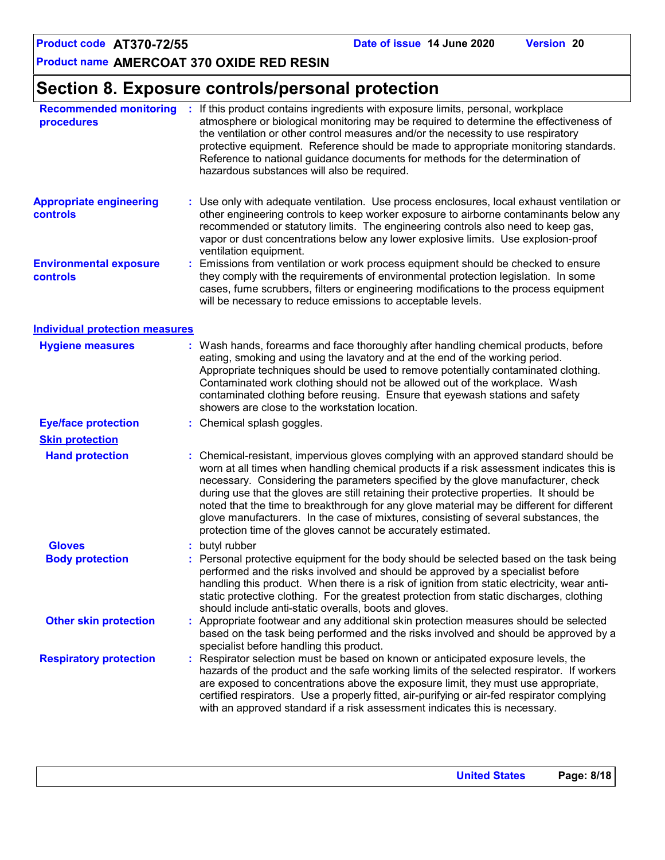# **Section 8. Exposure controls/personal protection**

| <b>Recommended monitoring</b><br>procedures                                                                                                                                                                                                               |    | : If this product contains ingredients with exposure limits, personal, workplace<br>atmosphere or biological monitoring may be required to determine the effectiveness of<br>the ventilation or other control measures and/or the necessity to use respiratory<br>protective equipment. Reference should be made to appropriate monitoring standards.<br>Reference to national guidance documents for methods for the determination of<br>hazardous substances will also be required.                                                                                                                                |  |
|-----------------------------------------------------------------------------------------------------------------------------------------------------------------------------------------------------------------------------------------------------------|----|----------------------------------------------------------------------------------------------------------------------------------------------------------------------------------------------------------------------------------------------------------------------------------------------------------------------------------------------------------------------------------------------------------------------------------------------------------------------------------------------------------------------------------------------------------------------------------------------------------------------|--|
| <b>Appropriate engineering</b><br>controls                                                                                                                                                                                                                |    | : Use only with adequate ventilation. Use process enclosures, local exhaust ventilation or<br>other engineering controls to keep worker exposure to airborne contaminants below any<br>recommended or statutory limits. The engineering controls also need to keep gas,<br>vapor or dust concentrations below any lower explosive limits. Use explosion-proof<br>ventilation equipment.                                                                                                                                                                                                                              |  |
| <b>Environmental exposure</b><br>controls                                                                                                                                                                                                                 | ÷. | Emissions from ventilation or work process equipment should be checked to ensure<br>they comply with the requirements of environmental protection legislation. In some<br>cases, fume scrubbers, filters or engineering modifications to the process equipment<br>will be necessary to reduce emissions to acceptable levels.                                                                                                                                                                                                                                                                                        |  |
| <b>Individual protection measures</b>                                                                                                                                                                                                                     |    |                                                                                                                                                                                                                                                                                                                                                                                                                                                                                                                                                                                                                      |  |
| <b>Hygiene measures</b>                                                                                                                                                                                                                                   |    | : Wash hands, forearms and face thoroughly after handling chemical products, before<br>eating, smoking and using the lavatory and at the end of the working period.<br>Appropriate techniques should be used to remove potentially contaminated clothing.<br>Contaminated work clothing should not be allowed out of the workplace. Wash<br>contaminated clothing before reusing. Ensure that eyewash stations and safety<br>showers are close to the workstation location.                                                                                                                                          |  |
| <b>Eye/face protection</b>                                                                                                                                                                                                                                |    | : Chemical splash goggles.                                                                                                                                                                                                                                                                                                                                                                                                                                                                                                                                                                                           |  |
| <b>Skin protection</b>                                                                                                                                                                                                                                    |    |                                                                                                                                                                                                                                                                                                                                                                                                                                                                                                                                                                                                                      |  |
| <b>Hand protection</b>                                                                                                                                                                                                                                    |    | Chemical-resistant, impervious gloves complying with an approved standard should be<br>worn at all times when handling chemical products if a risk assessment indicates this is<br>necessary. Considering the parameters specified by the glove manufacturer, check<br>during use that the gloves are still retaining their protective properties. It should be<br>noted that the time to breakthrough for any glove material may be different for different<br>glove manufacturers. In the case of mixtures, consisting of several substances, the<br>protection time of the gloves cannot be accurately estimated. |  |
| <b>Gloves</b>                                                                                                                                                                                                                                             |    | butyl rubber                                                                                                                                                                                                                                                                                                                                                                                                                                                                                                                                                                                                         |  |
| <b>Body protection</b>                                                                                                                                                                                                                                    |    | Personal protective equipment for the body should be selected based on the task being<br>performed and the risks involved and should be approved by a specialist before<br>handling this product. When there is a risk of ignition from static electricity, wear anti-<br>static protective clothing. For the greatest protection from static discharges, clothing<br>should include anti-static overalls, boots and gloves.                                                                                                                                                                                         |  |
| <b>Other skin protection</b><br>: Appropriate footwear and any additional skin protection measures should be selected<br>based on the task being performed and the risks involved and should be approved by a<br>specialist before handling this product. |    |                                                                                                                                                                                                                                                                                                                                                                                                                                                                                                                                                                                                                      |  |
| <b>Respiratory protection</b>                                                                                                                                                                                                                             |    | Respirator selection must be based on known or anticipated exposure levels, the<br>hazards of the product and the safe working limits of the selected respirator. If workers<br>are exposed to concentrations above the exposure limit, they must use appropriate,<br>certified respirators. Use a properly fitted, air-purifying or air-fed respirator complying<br>with an approved standard if a risk assessment indicates this is necessary.                                                                                                                                                                     |  |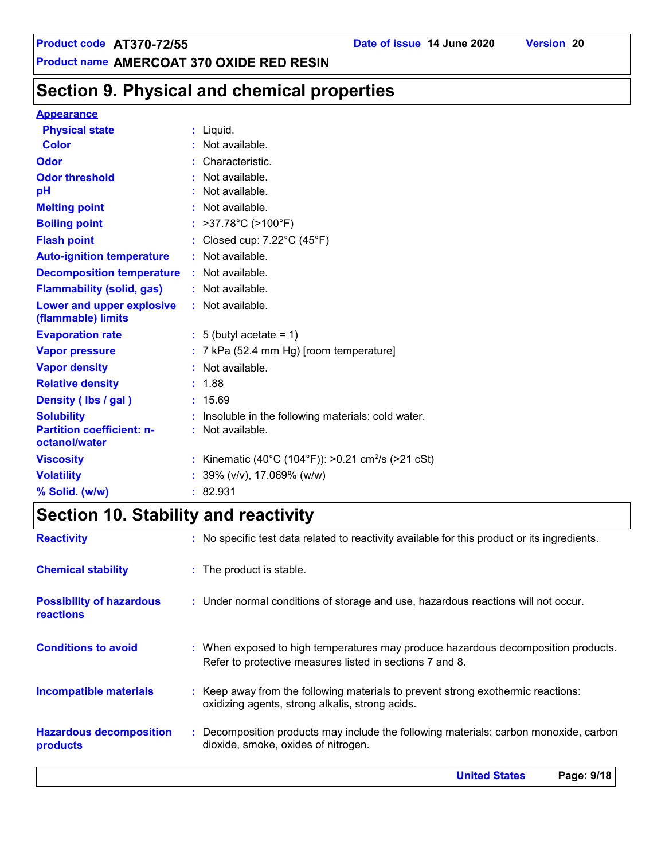# **Section 9. Physical and chemical properties**

#### **Appearance**

| <b>Physical state</b>                             | $:$ Liquid.                                                  |
|---------------------------------------------------|--------------------------------------------------------------|
| <b>Color</b>                                      | Not available.                                               |
| Odor                                              | Characteristic.                                              |
| <b>Odor threshold</b>                             | Not available.                                               |
| рH                                                | Not available.                                               |
| <b>Melting point</b>                              | Not available.                                               |
| <b>Boiling point</b>                              | : $>37.78^{\circ}C$ ( $>100^{\circ}F$ )                      |
| <b>Flash point</b>                                | : Closed cup: 7.22°C (45°F)                                  |
| <b>Auto-ignition temperature</b>                  | : Not available.                                             |
| <b>Decomposition temperature</b>                  | : Not available.                                             |
| <b>Flammability (solid, gas)</b>                  | : Not available.                                             |
| Lower and upper explosive<br>(flammable) limits   | : Not available.                                             |
| <b>Evaporation rate</b>                           | $: 5$ (butyl acetate = 1)                                    |
| <b>Vapor pressure</b>                             | $: 7$ kPa (52.4 mm Hg) [room temperature]                    |
| <b>Vapor density</b>                              | : Not available.                                             |
| <b>Relative density</b>                           | : 1.88                                                       |
| Density (lbs / gal)                               | : 15.69                                                      |
| <b>Solubility</b>                                 | Insoluble in the following materials: cold water.            |
| <b>Partition coefficient: n-</b><br>octanol/water | : Not available.                                             |
| <b>Viscosity</b>                                  | Kinematic (40°C (104°F)): >0.21 cm <sup>2</sup> /s (>21 cSt) |
| <b>Volatility</b>                                 | : $39\%$ (v/v), 17.069% (w/w)                                |
| % Solid. (w/w)                                    | : 82.931                                                     |

# **Section 10. Stability and reactivity**

|                                                     | <b>United States</b><br>Page: 9/18                                                                                                            |
|-----------------------------------------------------|-----------------------------------------------------------------------------------------------------------------------------------------------|
| <b>Hazardous decomposition</b><br>products          | : Decomposition products may include the following materials: carbon monoxide, carbon<br>dioxide, smoke, oxides of nitrogen.                  |
| <b>Incompatible materials</b>                       | : Keep away from the following materials to prevent strong exothermic reactions:<br>oxidizing agents, strong alkalis, strong acids.           |
| <b>Conditions to avoid</b>                          | : When exposed to high temperatures may produce hazardous decomposition products.<br>Refer to protective measures listed in sections 7 and 8. |
| <b>Possibility of hazardous</b><br><b>reactions</b> | : Under normal conditions of storage and use, hazardous reactions will not occur.                                                             |
| <b>Chemical stability</b>                           | : The product is stable.                                                                                                                      |
| <b>Reactivity</b>                                   | : No specific test data related to reactivity available for this product or its ingredients.                                                  |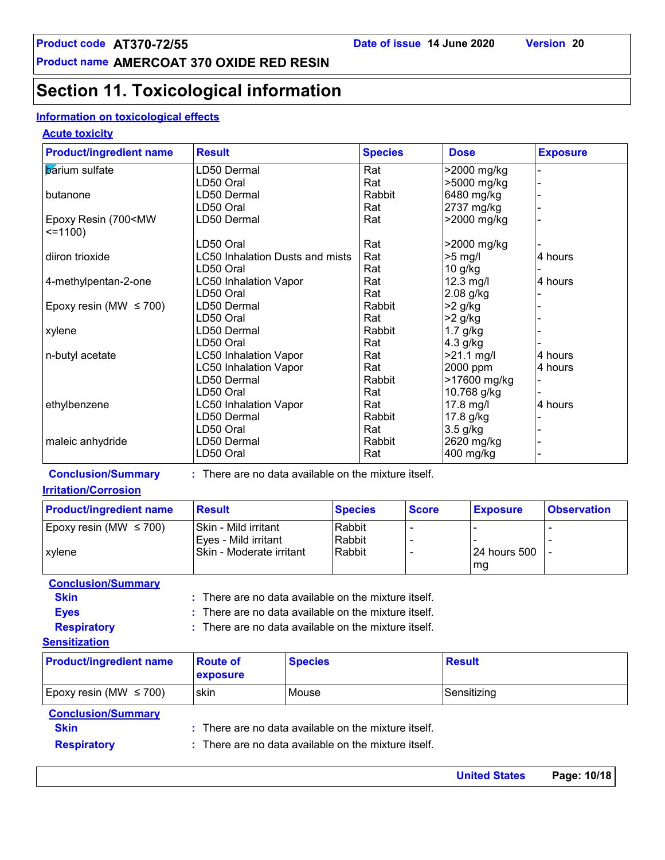# **Section 11. Toxicological information**

#### **Information on toxicological effects**

#### **Acute toxicity**

| <b>Product/ingredient name</b>                           | <b>Result</b>                                        |                | <b>Species</b> |              | <b>Dose</b>  |                 | <b>Exposure</b>                                                                                                |  |  |  |  |
|----------------------------------------------------------|------------------------------------------------------|----------------|----------------|--------------|--------------|-----------------|----------------------------------------------------------------------------------------------------------------|--|--|--|--|
| <b>b</b> arium sulfate                                   | LD50 Dermal                                          |                | Rat            |              |              | >2000 mg/kg     |                                                                                                                |  |  |  |  |
|                                                          | LD50 Oral                                            |                | Rat            |              |              | >5000 mg/kg     |                                                                                                                |  |  |  |  |
| butanone                                                 | LD50 Dermal                                          |                |                |              |              | 6480 mg/kg      |                                                                                                                |  |  |  |  |
|                                                          | LD50 Oral                                            |                | Rat            |              |              | 2737 mg/kg      |                                                                                                                |  |  |  |  |
| Epoxy Resin (700 <mw<br><math>=1100</math></mw<br>       | LD50 Dermal                                          |                | Rat            |              |              | >2000 mg/kg     |                                                                                                                |  |  |  |  |
|                                                          | LD50 Oral                                            |                | Rat            |              |              | >2000 mg/kg     |                                                                                                                |  |  |  |  |
| diiron trioxide                                          | <b>LC50 Inhalation Dusts and mists</b>               |                | Rat            |              | $>5$ mg/l    |                 | 4 hours                                                                                                        |  |  |  |  |
|                                                          | LD50 Oral                                            |                | Rat            |              | $10$ g/kg    |                 |                                                                                                                |  |  |  |  |
| 4-methylpentan-2-one                                     | <b>LC50 Inhalation Vapor</b>                         |                | Rat            |              | 12.3 mg/l    |                 | 4 hours                                                                                                        |  |  |  |  |
|                                                          | LD50 Oral                                            |                | Rat            |              | 2.08 g/kg    |                 |                                                                                                                |  |  |  |  |
| Epoxy resin (MW $\leq$ 700)                              | LD50 Dermal                                          |                | Rabbit         |              | $>2$ g/kg    |                 |                                                                                                                |  |  |  |  |
|                                                          | LD50 Oral                                            |                | Rat            |              | $>2$ g/kg    |                 |                                                                                                                |  |  |  |  |
| xylene                                                   | LD50 Dermal                                          |                | Rabbit         |              | $1.7$ g/kg   |                 |                                                                                                                |  |  |  |  |
|                                                          | LD50 Oral                                            |                | Rat            |              | 4.3 g/kg     |                 |                                                                                                                |  |  |  |  |
| n-butyl acetate                                          | <b>LC50 Inhalation Vapor</b>                         |                | Rat            |              | $>21.1$ mg/l |                 | 4 hours                                                                                                        |  |  |  |  |
|                                                          | <b>LC50 Inhalation Vapor</b>                         |                | Rat            |              | 2000 ppm     |                 | 4 hours                                                                                                        |  |  |  |  |
|                                                          | LD50 Dermal                                          |                | Rabbit         |              |              | >17600 mg/kg    |                                                                                                                |  |  |  |  |
|                                                          | LD50 Oral                                            |                | Rat            |              |              | 10.768 g/kg     |                                                                                                                |  |  |  |  |
| ethylbenzene                                             | <b>LC50 Inhalation Vapor</b>                         |                | Rat            |              | 17.8 mg/l    |                 | 4 hours                                                                                                        |  |  |  |  |
|                                                          | LD50 Dermal                                          |                | Rabbit         |              | 17.8 g/kg    |                 |                                                                                                                |  |  |  |  |
|                                                          | LD50 Oral                                            |                | Rat            |              | 3.5 g/kg     |                 |                                                                                                                |  |  |  |  |
| maleic anhydride                                         | LD50 Dermal                                          |                | Rabbit         |              |              | 2620 mg/kg      |                                                                                                                |  |  |  |  |
|                                                          | LD50 Oral                                            |                | Rat            |              | 400 mg/kg    |                 |                                                                                                                |  |  |  |  |
| <b>Conclusion/Summary</b><br><b>Irritation/Corrosion</b> | : There are no data available on the mixture itself. |                |                |              |              |                 |                                                                                                                |  |  |  |  |
| <b>Product/ingredient name</b>                           | <b>Result</b>                                        | <b>Species</b> |                | <b>Score</b> |              | <b>Exposure</b> | <b>Observation</b>                                                                                             |  |  |  |  |
| Epoxy resin (MW $\leq$ 700)                              | Skin - Mild irritant                                 | Rabbit         |                |              |              |                 |                                                                                                                |  |  |  |  |
|                                                          | Eyes - Mild irritant                                 | Rabbit         |                |              |              |                 |                                                                                                                |  |  |  |  |
| xylene                                                   | Skin - Moderate irritant                             |                | Rabbit         |              |              | 24 hours 500    |                                                                                                                |  |  |  |  |
|                                                          |                                                      |                |                |              |              | mg              |                                                                                                                |  |  |  |  |
| <b>Conclusion/Summary</b>                                |                                                      |                |                |              |              |                 |                                                                                                                |  |  |  |  |
| <b>Skin</b>                                              | There are no data available on the mixture itself.   |                |                |              |              |                 |                                                                                                                |  |  |  |  |
| e.                                                       |                                                      |                |                |              |              |                 | and a second control of the control of the first control of the control of the control of the control of the c |  |  |  |  |

**Eyes :** There are no data available on the mixture itself.

: There are no data available on the mixture itself.

#### **Sensitization**

**Respiratory :**

| <b>Product/ingredient name</b> | <b>Route of</b><br>exposure                          | <b>Species</b>                                       | <b>Result</b> |  |
|--------------------------------|------------------------------------------------------|------------------------------------------------------|---------------|--|
| Epoxy resin (MW $\leq$ 700)    | <b>Iskin</b>                                         | l Mouse                                              | Sensitizing   |  |
| <b>Conclusion/Summary</b>      |                                                      |                                                      |               |  |
| <b>Skin</b>                    |                                                      | : There are no data available on the mixture itself. |               |  |
| <b>Respiratory</b>             | : There are no data available on the mixture itself. |                                                      |               |  |

**United States Page: 10/18**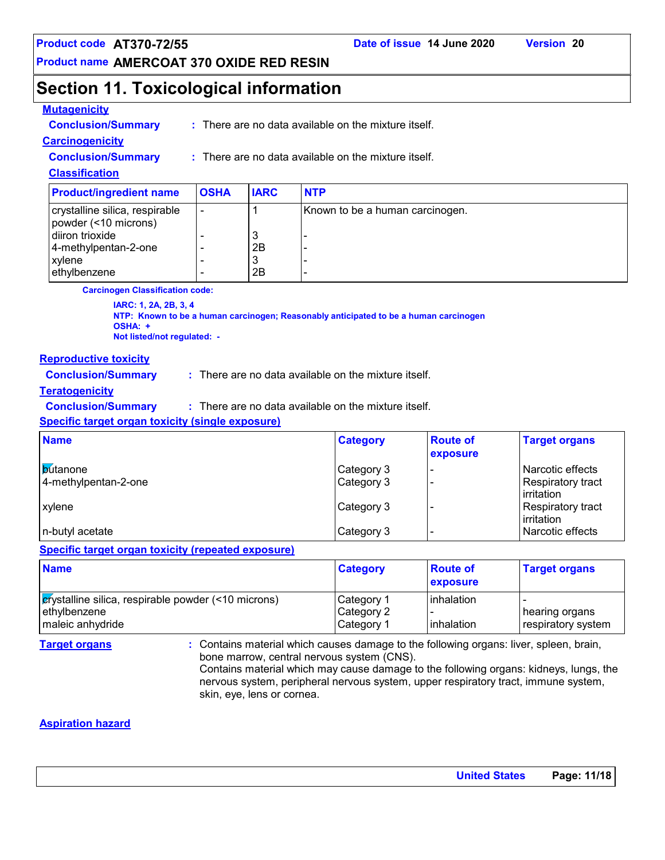**Product name AMERCOAT 370 OXIDE RED RESIN**

# **Section 11. Toxicological information**

#### **Mutagenicity**

| <b>Conclusion/Summary</b> | : There are no data available on the mixture itself. |
|---------------------------|------------------------------------------------------|
|                           |                                                      |

### **Carcinogenicity**

**Conclusion/Summary :** There are no data available on the mixture itself.

#### **Classification**

| <b>Product/ingredient name</b>                         | <b>OSHA</b> | <b>IARC</b> | <b>NTP</b>                      |
|--------------------------------------------------------|-------------|-------------|---------------------------------|
| crystalline silica, respirable<br>powder (<10 microns) | ۰           |             | Known to be a human carcinogen. |
| diiron trioxide                                        |             | ື           |                                 |
| 4-methylpentan-2-one                                   |             | 2Β          |                                 |
| xylene                                                 |             | J           |                                 |
| ethylbenzene                                           |             | 2Β          |                                 |

**Carcinogen Classification code:**

**IARC: 1, 2A, 2B, 3, 4 NTP: Known to be a human carcinogen; Reasonably anticipated to be a human carcinogen OSHA: + Not listed/not regulated: -**

#### **Reproductive toxicity**

**Conclusion/Summary :** There are no data available on the mixture itself.

#### **Teratogenicity**

**Conclusion/Summary :** : There are no data available on the mixture itself.

#### **Specific target organ toxicity (single exposure)**

| <b>Name</b>                              | <b>Category</b>          | <b>Route of</b><br>exposure | <b>Target organs</b>                                |
|------------------------------------------|--------------------------|-----------------------------|-----------------------------------------------------|
| <b>b</b> utanone<br>4-methylpentan-2-one | Category 3<br>Category 3 |                             | Narcotic effects<br>Respiratory tract<br>irritation |
| <b>Lxvlene</b>                           | Category 3               |                             | Respiratory tract<br>irritation                     |
| n-butyl acetate                          | Category 3               |                             | Narcotic effects                                    |

#### **Specific target organ toxicity (repeated exposure)**

| <b>Name</b>                                                                             | <b>Category</b>                        | <b>Route of</b><br><b>exposure</b> | <b>Target organs</b>                  |
|-----------------------------------------------------------------------------------------|----------------------------------------|------------------------------------|---------------------------------------|
| crystalline silica, respirable powder (<10 microns)<br>ethylbenzene<br>maleic anhydride | Category 1<br>Category 2<br>Category 1 | linhalation<br>linhalation         | ∣hearing organs<br>respiratory system |

**Target organs :** Contains material which causes damage to the following organs: liver, spleen, brain, bone marrow, central nervous system (CNS).

Contains material which may cause damage to the following organs: kidneys, lungs, the nervous system, peripheral nervous system, upper respiratory tract, immune system, skin, eye, lens or cornea.

#### **Aspiration hazard**

| <b>United States</b> | Page: 11/18 |
|----------------------|-------------|
|----------------------|-------------|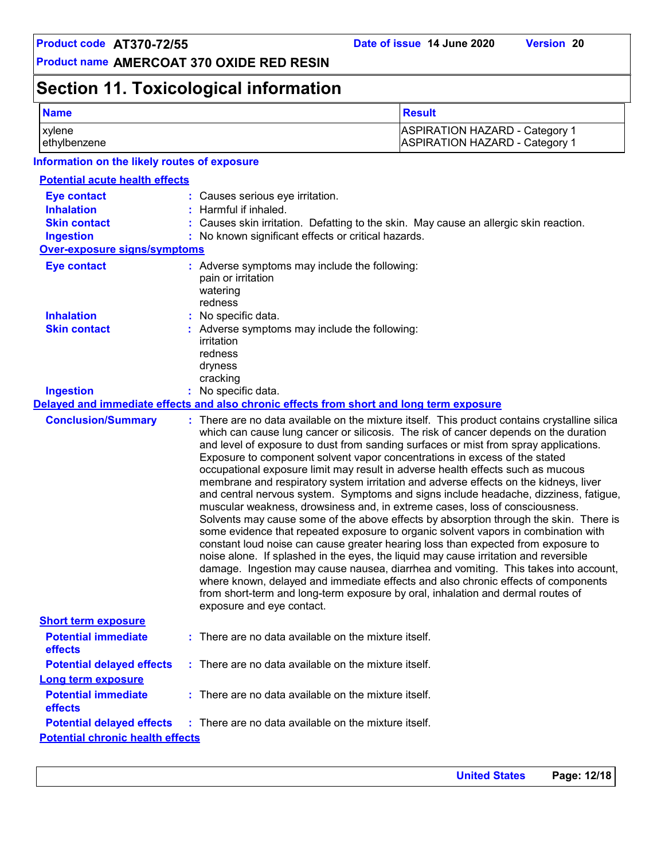# **Section 11. Toxicological information**

| <b>Name</b>                                                    |                                                                                               | <b>Result</b>                                                                                                                                                                                                                                                                                                                                                                                                                                                                                                                                                                                                                                                                                                                                                                                                                                                                                                                                                                                                                                                                                                                                                                                                                                                                                                                            |
|----------------------------------------------------------------|-----------------------------------------------------------------------------------------------|------------------------------------------------------------------------------------------------------------------------------------------------------------------------------------------------------------------------------------------------------------------------------------------------------------------------------------------------------------------------------------------------------------------------------------------------------------------------------------------------------------------------------------------------------------------------------------------------------------------------------------------------------------------------------------------------------------------------------------------------------------------------------------------------------------------------------------------------------------------------------------------------------------------------------------------------------------------------------------------------------------------------------------------------------------------------------------------------------------------------------------------------------------------------------------------------------------------------------------------------------------------------------------------------------------------------------------------|
| xylene<br>ethylbenzene                                         |                                                                                               | <b>ASPIRATION HAZARD - Category 1</b><br><b>ASPIRATION HAZARD - Category 1</b>                                                                                                                                                                                                                                                                                                                                                                                                                                                                                                                                                                                                                                                                                                                                                                                                                                                                                                                                                                                                                                                                                                                                                                                                                                                           |
| Information on the likely routes of exposure                   |                                                                                               |                                                                                                                                                                                                                                                                                                                                                                                                                                                                                                                                                                                                                                                                                                                                                                                                                                                                                                                                                                                                                                                                                                                                                                                                                                                                                                                                          |
| <b>Potential acute health effects</b>                          |                                                                                               |                                                                                                                                                                                                                                                                                                                                                                                                                                                                                                                                                                                                                                                                                                                                                                                                                                                                                                                                                                                                                                                                                                                                                                                                                                                                                                                                          |
| <b>Eye contact</b><br><b>Inhalation</b><br><b>Skin contact</b> | : Causes serious eye irritation.<br>: Harmful if inhaled.                                     | : Causes skin irritation. Defatting to the skin. May cause an allergic skin reaction.                                                                                                                                                                                                                                                                                                                                                                                                                                                                                                                                                                                                                                                                                                                                                                                                                                                                                                                                                                                                                                                                                                                                                                                                                                                    |
| <b>Ingestion</b>                                               | : No known significant effects or critical hazards.                                           |                                                                                                                                                                                                                                                                                                                                                                                                                                                                                                                                                                                                                                                                                                                                                                                                                                                                                                                                                                                                                                                                                                                                                                                                                                                                                                                                          |
| Over-exposure signs/symptoms                                   |                                                                                               |                                                                                                                                                                                                                                                                                                                                                                                                                                                                                                                                                                                                                                                                                                                                                                                                                                                                                                                                                                                                                                                                                                                                                                                                                                                                                                                                          |
| <b>Eye contact</b>                                             | : Adverse symptoms may include the following:<br>pain or irritation<br>watering<br>redness    |                                                                                                                                                                                                                                                                                                                                                                                                                                                                                                                                                                                                                                                                                                                                                                                                                                                                                                                                                                                                                                                                                                                                                                                                                                                                                                                                          |
| <b>Inhalation</b>                                              | : No specific data.                                                                           |                                                                                                                                                                                                                                                                                                                                                                                                                                                                                                                                                                                                                                                                                                                                                                                                                                                                                                                                                                                                                                                                                                                                                                                                                                                                                                                                          |
| <b>Skin contact</b>                                            | : Adverse symptoms may include the following:<br>irritation<br>redness<br>dryness<br>cracking |                                                                                                                                                                                                                                                                                                                                                                                                                                                                                                                                                                                                                                                                                                                                                                                                                                                                                                                                                                                                                                                                                                                                                                                                                                                                                                                                          |
| <b>Ingestion</b>                                               | : No specific data.                                                                           |                                                                                                                                                                                                                                                                                                                                                                                                                                                                                                                                                                                                                                                                                                                                                                                                                                                                                                                                                                                                                                                                                                                                                                                                                                                                                                                                          |
|                                                                |                                                                                               | Delayed and immediate effects and also chronic effects from short and long term exposure                                                                                                                                                                                                                                                                                                                                                                                                                                                                                                                                                                                                                                                                                                                                                                                                                                                                                                                                                                                                                                                                                                                                                                                                                                                 |
| <b>Conclusion/Summary</b>                                      | exposure and eye contact.                                                                     | : There are no data available on the mixture itself. This product contains crystalline silica<br>which can cause lung cancer or silicosis. The risk of cancer depends on the duration<br>and level of exposure to dust from sanding surfaces or mist from spray applications.<br>Exposure to component solvent vapor concentrations in excess of the stated<br>occupational exposure limit may result in adverse health effects such as mucous<br>membrane and respiratory system irritation and adverse effects on the kidneys, liver<br>and central nervous system. Symptoms and signs include headache, dizziness, fatigue,<br>muscular weakness, drowsiness and, in extreme cases, loss of consciousness.<br>Solvents may cause some of the above effects by absorption through the skin. There is<br>some evidence that repeated exposure to organic solvent vapors in combination with<br>constant loud noise can cause greater hearing loss than expected from exposure to<br>noise alone. If splashed in the eyes, the liquid may cause irritation and reversible<br>damage. Ingestion may cause nausea, diarrhea and vomiting. This takes into account,<br>where known, delayed and immediate effects and also chronic effects of components<br>from short-term and long-term exposure by oral, inhalation and dermal routes of |
| <b>Short term exposure</b>                                     |                                                                                               |                                                                                                                                                                                                                                                                                                                                                                                                                                                                                                                                                                                                                                                                                                                                                                                                                                                                                                                                                                                                                                                                                                                                                                                                                                                                                                                                          |
| <b>Potential immediate</b><br>effects                          | : There are no data available on the mixture itself.                                          |                                                                                                                                                                                                                                                                                                                                                                                                                                                                                                                                                                                                                                                                                                                                                                                                                                                                                                                                                                                                                                                                                                                                                                                                                                                                                                                                          |
| <b>Potential delayed effects</b>                               | : There are no data available on the mixture itself.                                          |                                                                                                                                                                                                                                                                                                                                                                                                                                                                                                                                                                                                                                                                                                                                                                                                                                                                                                                                                                                                                                                                                                                                                                                                                                                                                                                                          |
| <b>Long term exposure</b>                                      |                                                                                               |                                                                                                                                                                                                                                                                                                                                                                                                                                                                                                                                                                                                                                                                                                                                                                                                                                                                                                                                                                                                                                                                                                                                                                                                                                                                                                                                          |
| <b>Potential immediate</b><br>effects                          | : There are no data available on the mixture itself.                                          |                                                                                                                                                                                                                                                                                                                                                                                                                                                                                                                                                                                                                                                                                                                                                                                                                                                                                                                                                                                                                                                                                                                                                                                                                                                                                                                                          |
| <b>Potential delayed effects</b>                               | : There are no data available on the mixture itself.                                          |                                                                                                                                                                                                                                                                                                                                                                                                                                                                                                                                                                                                                                                                                                                                                                                                                                                                                                                                                                                                                                                                                                                                                                                                                                                                                                                                          |
| <b>Potential chronic health effects</b>                        |                                                                                               |                                                                                                                                                                                                                                                                                                                                                                                                                                                                                                                                                                                                                                                                                                                                                                                                                                                                                                                                                                                                                                                                                                                                                                                                                                                                                                                                          |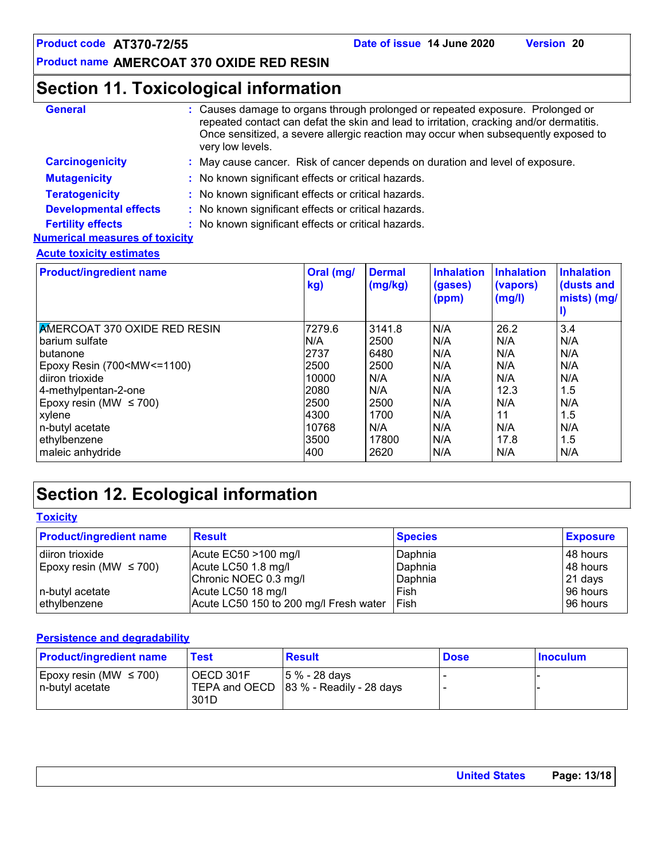# **Section 11. Toxicological information**

| <b>General</b>                        | : Causes damage to organs through prolonged or repeated exposure. Prolonged or<br>repeated contact can defat the skin and lead to irritation, cracking and/or dermatitis.<br>Once sensitized, a severe allergic reaction may occur when subsequently exposed to<br>very low levels. |  |
|---------------------------------------|-------------------------------------------------------------------------------------------------------------------------------------------------------------------------------------------------------------------------------------------------------------------------------------|--|
| <b>Carcinogenicity</b>                | May cause cancer. Risk of cancer depends on duration and level of exposure.                                                                                                                                                                                                         |  |
| <b>Mutagenicity</b>                   | : No known significant effects or critical hazards.                                                                                                                                                                                                                                 |  |
| <b>Teratogenicity</b>                 | : No known significant effects or critical hazards.                                                                                                                                                                                                                                 |  |
| <b>Developmental effects</b>          | No known significant effects or critical hazards.                                                                                                                                                                                                                                   |  |
| <b>Fertility effects</b>              | No known significant effects or critical hazards.                                                                                                                                                                                                                                   |  |
| <b>Numerical measures of toxicity</b> |                                                                                                                                                                                                                                                                                     |  |
| <b>Acute toxicity estimates</b>       |                                                                                                                                                                                                                                                                                     |  |

| <b>Product/ingredient name</b>                                                                            | Oral (mg/<br>kg) | <b>Dermal</b><br>(mg/kg) | <b>Inhalation</b><br>(gases)<br>(ppm) | <b>Inhalation</b><br>(vapors)<br>(mg/l) | <b>Inhalation</b><br>(dusts and<br>mists) (mg/ |
|-----------------------------------------------------------------------------------------------------------|------------------|--------------------------|---------------------------------------|-----------------------------------------|------------------------------------------------|
| <b>AMERCOAT 370 OXIDE RED RESIN</b>                                                                       | 7279.6           | 3141.8                   | N/A                                   | 26.2                                    | 3.4                                            |
| barium sulfate                                                                                            | N/A              | 2500                     | N/A                                   | N/A                                     | N/A                                            |
| butanone                                                                                                  | 2737             | 6480                     | N/A                                   | N/A                                     | N/A                                            |
| Epoxy Resin (700 <mw <="1100)&lt;/td"><td>2500</td><td>2500</td><td>N/A</td><td>N/A</td><td>N/A</td></mw> | 2500             | 2500                     | N/A                                   | N/A                                     | N/A                                            |
| diiron trioxide                                                                                           | 10000            | N/A                      | N/A                                   | N/A                                     | N/A                                            |
| 4-methylpentan-2-one                                                                                      | 2080             | N/A                      | N/A                                   | 12.3                                    | 1.5                                            |
| Epoxy resin (MW $\leq$ 700)                                                                               | 2500             | 2500                     | N/A                                   | N/A                                     | N/A                                            |
| xylene                                                                                                    | 4300             | 1700                     | N/A                                   | 11                                      | 1.5                                            |
| n-butyl acetate                                                                                           | 10768            | N/A                      | N/A                                   | N/A                                     | N/A                                            |
| ethylbenzene                                                                                              | 3500             | 17800                    | N/A                                   | 17.8                                    | 1.5                                            |
| maleic anhydride                                                                                          | 400              | 2620                     | N/A                                   | N/A                                     | N/A                                            |

# **Section 12. Ecological information**

| <b>Toxicity</b>                |                                        |                |                 |
|--------------------------------|----------------------------------------|----------------|-----------------|
| <b>Product/ingredient name</b> | <b>Result</b>                          | <b>Species</b> | <b>Exposure</b> |
| diiron trioxide                | Acute $EC50 > 100$ mg/l                | Daphnia        | 48 hours        |
| Epoxy resin (MW $\leq$ 700)    | Acute LC50 1.8 mg/l                    | Daphnia        | ∣48 hours       |
|                                | Chronic NOEC 0.3 mg/l                  | Daphnia        | 21 days         |
| n-butyl acetate                | Acute LC50 18 mg/l                     | Fish           | ∣96 hours       |
| ethylbenzene                   | Acute LC50 150 to 200 mg/l Fresh water | <b>IFish</b>   | 96 hours        |

#### **Persistence and degradability**

| <b>Product/ingredient name</b> | Геst      | <b>Result</b>                              | <b>Dose</b> | <b>Inoculum</b> |
|--------------------------------|-----------|--------------------------------------------|-------------|-----------------|
| Epoxy resin (MW $\leq$ 700)    | OECD 301F | 15 % - 28 davs                             |             |                 |
| l n-butvl acetate              | 301D      | TEPA and OECD $ 83 \%$ - Readily - 28 days |             |                 |

| United States Page: 13/18 |  |
|---------------------------|--|
|                           |  |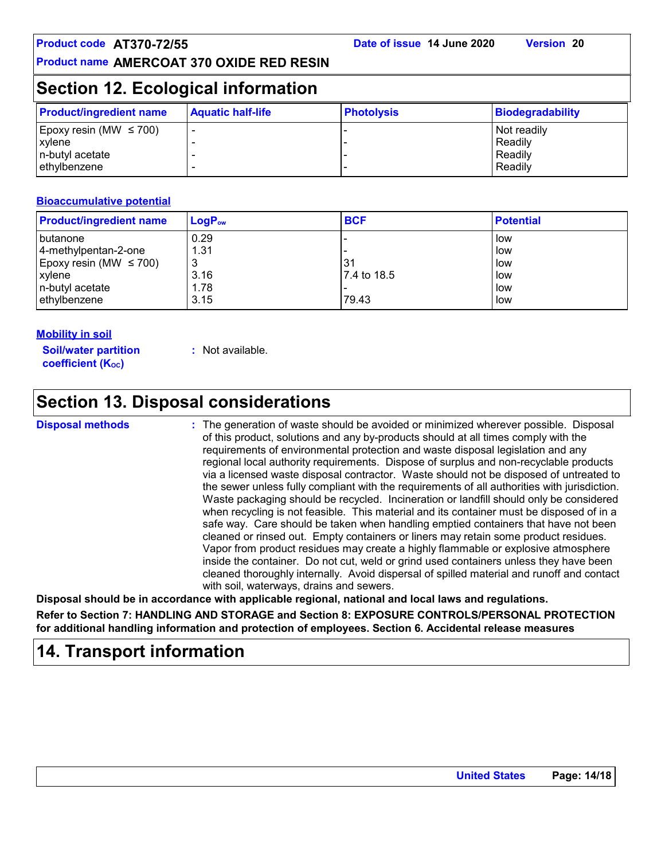# **Section 12. Ecological information**

| <b>Product/ingredient name</b> | <b>Aquatic half-life</b> | <b>Photolysis</b> | Biodegradability |
|--------------------------------|--------------------------|-------------------|------------------|
| Epoxy resin (MW $\leq$ 700)    |                          |                   | Not readily      |
| xylene                         |                          |                   | Readily          |
| n-butyl acetate                |                          |                   | Readily          |
| ethylbenzene                   |                          |                   | Readily          |

#### **Bioaccumulative potential**

| <b>Product/ingredient name</b> | $\mathsf{LogP}_\mathsf{ow}$ | <b>BCF</b>  | <b>Potential</b> |
|--------------------------------|-----------------------------|-------------|------------------|
| l butanone                     | 0.29                        |             | low              |
| 4-methylpentan-2-one           | 1.31                        |             | low              |
| Epoxy resin (MW $\leq$ 700)    | 3                           | 31          | low              |
| xylene                         | 3.16                        | 7.4 to 18.5 | low              |
| n-butyl acetate                | 1.78                        |             | low              |
| ethylbenzene                   | 3.15                        | 79.43       | low              |

#### **Mobility in soil**

**Soil/water partition coefficient (KOC)**

**:** Not available.

# **Section 13. Disposal considerations**

**Disposal methods :**

The generation of waste should be avoided or minimized wherever possible. Disposal of this product, solutions and any by-products should at all times comply with the requirements of environmental protection and waste disposal legislation and any regional local authority requirements. Dispose of surplus and non-recyclable products via a licensed waste disposal contractor. Waste should not be disposed of untreated to the sewer unless fully compliant with the requirements of all authorities with jurisdiction. Waste packaging should be recycled. Incineration or landfill should only be considered when recycling is not feasible. This material and its container must be disposed of in a safe way. Care should be taken when handling emptied containers that have not been cleaned or rinsed out. Empty containers or liners may retain some product residues. Vapor from product residues may create a highly flammable or explosive atmosphere inside the container. Do not cut, weld or grind used containers unless they have been cleaned thoroughly internally. Avoid dispersal of spilled material and runoff and contact with soil, waterways, drains and sewers.

**Disposal should be in accordance with applicable regional, national and local laws and regulations.**

**Refer to Section 7: HANDLING AND STORAGE and Section 8: EXPOSURE CONTROLS/PERSONAL PROTECTION for additional handling information and protection of employees. Section 6. Accidental release measures**

# **14. Transport information**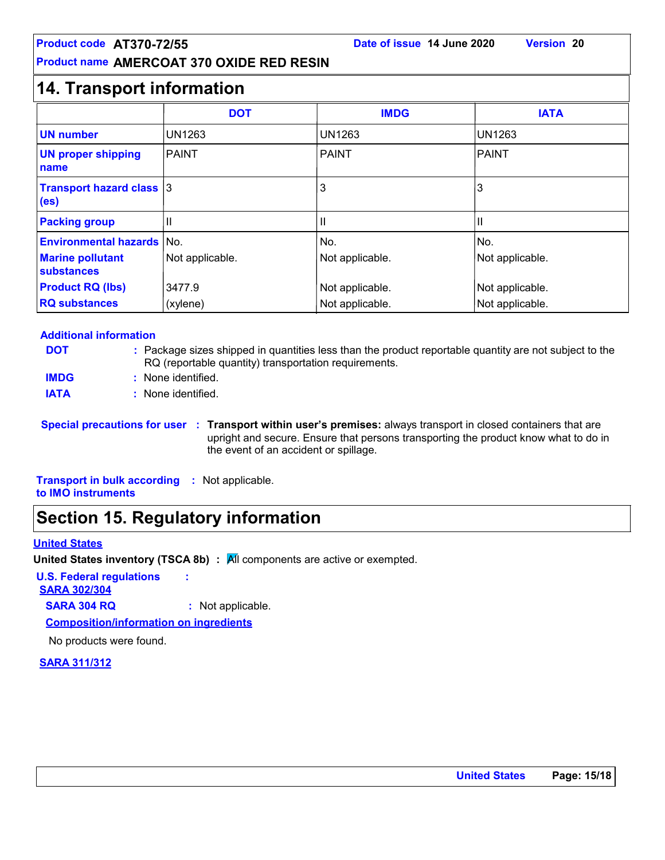## **14. Transport information**

|                                                      | <b>DOT</b>      | <b>IMDG</b>     | <b>IATA</b>     |
|------------------------------------------------------|-----------------|-----------------|-----------------|
| <b>UN number</b>                                     | <b>UN1263</b>   | <b>UN1263</b>   | <b>UN1263</b>   |
| <b>UN proper shipping</b><br>name                    | PAINT           | <b>PAINT</b>    | <b>PAINT</b>    |
| <b>Transport hazard class 3</b><br>(e <sub>s</sub> ) |                 | 3               | 3               |
| <b>Packing group</b>                                 | Ш               | Ш               | Ш               |
| <b>Environmental hazards</b>                         | lNo.            | No.             | No.             |
| <b>Marine pollutant</b><br>substances                | Not applicable. | Not applicable. | Not applicable. |
| <b>Product RQ (lbs)</b>                              | 3477.9          | Not applicable. | Not applicable. |
| <b>RQ substances</b>                                 | (xylene)        | Not applicable. | Not applicable. |

#### **Additional information**

| <b>DOT</b>  | : Package sizes shipped in quantities less than the product reportable quantity are not subject to the<br>RQ (reportable quantity) transportation requirements. |
|-------------|-----------------------------------------------------------------------------------------------------------------------------------------------------------------|
| <b>IMDG</b> | : None identified.                                                                                                                                              |
| <b>IATA</b> | : None identified.                                                                                                                                              |

**Special precautions for user Transport within user's premises:** always transport in closed containers that are **:** upright and secure. Ensure that persons transporting the product know what to do in the event of an accident or spillage.

**Transport in bulk according :** Not applicable. **to IMO instruments**

# **Section 15. Regulatory information**

#### **United States**

**United States inventory (TSCA 8b) : All components are active or exempted.** 

**U.S. Federal regulations :**

**SARA 302/304**

**SARA 304 RQ :** Not applicable.

**Composition/information on ingredients**

No products were found.

**SARA 311/312**

**United States Page: 15/18**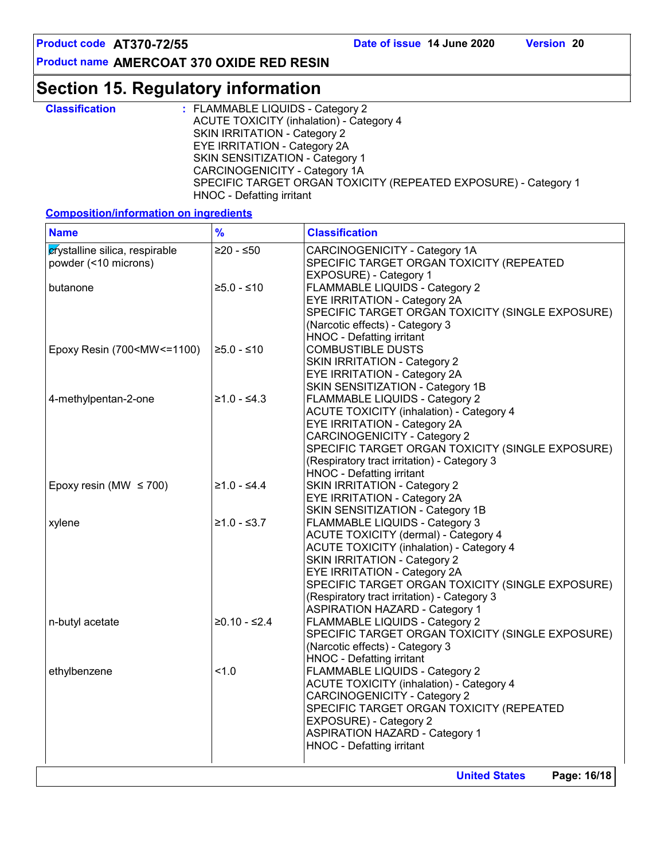# **Section 15. Regulatory information**

| <b>Classification</b> | : FLAMMABLE LIQUIDS - Category 2                                |
|-----------------------|-----------------------------------------------------------------|
|                       | <b>ACUTE TOXICITY (inhalation) - Category 4</b>                 |
|                       | SKIN IRRITATION - Category 2                                    |
|                       | <b>EYE IRRITATION - Category 2A</b>                             |
|                       | SKIN SENSITIZATION - Category 1                                 |
|                       | CARCINOGENICITY - Category 1A                                   |
|                       | SPECIFIC TARGET ORGAN TOXICITY (REPEATED EXPOSURE) - Category 1 |
|                       | HNOC - Defatting irritant                                       |

**Composition/information on ingredients**

| <b>Name</b>                                                                                                                                                                                                                     | $\frac{9}{6}$  | <b>Classification</b>                                                                                                                                                                                                                                                                                                                               |
|---------------------------------------------------------------------------------------------------------------------------------------------------------------------------------------------------------------------------------|----------------|-----------------------------------------------------------------------------------------------------------------------------------------------------------------------------------------------------------------------------------------------------------------------------------------------------------------------------------------------------|
| crystalline silica, respirable<br>powder (<10 microns)                                                                                                                                                                          | $≥20 - ≤50$    | CARCINOGENICITY - Category 1A<br>SPECIFIC TARGET ORGAN TOXICITY (REPEATED<br>EXPOSURE) - Category 1                                                                                                                                                                                                                                                 |
| butanone                                                                                                                                                                                                                        | $≥5.0 - ≤10$   | <b>FLAMMABLE LIQUIDS - Category 2</b><br><b>EYE IRRITATION - Category 2A</b><br>SPECIFIC TARGET ORGAN TOXICITY (SINGLE EXPOSURE)<br>(Narcotic effects) - Category 3<br>HNOC - Defatting irritant                                                                                                                                                    |
| Epoxy Resin (700 <mw<=1100)< td=""><td><math>≥5.0 - ≤10</math></td><td><b>COMBUSTIBLE DUSTS</b><br/><b>SKIN IRRITATION - Category 2</b><br/>EYE IRRITATION - Category 2A<br/>SKIN SENSITIZATION - Category 1B</td></mw<=1100)<> | $≥5.0 - ≤10$   | <b>COMBUSTIBLE DUSTS</b><br><b>SKIN IRRITATION - Category 2</b><br>EYE IRRITATION - Category 2A<br>SKIN SENSITIZATION - Category 1B                                                                                                                                                                                                                 |
| 4-methylpentan-2-one                                                                                                                                                                                                            | $≥1.0 - ≤4.3$  | FLAMMABLE LIQUIDS - Category 2<br><b>ACUTE TOXICITY (inhalation) - Category 4</b><br>EYE IRRITATION - Category 2A<br><b>CARCINOGENICITY - Category 2</b><br>SPECIFIC TARGET ORGAN TOXICITY (SINGLE EXPOSURE)<br>(Respiratory tract irritation) - Category 3<br>HNOC - Defatting irritant                                                            |
| Epoxy resin (MW $\leq$ 700)                                                                                                                                                                                                     | $≥1.0 - ≤4.4$  | <b>SKIN IRRITATION - Category 2</b><br>EYE IRRITATION - Category 2A<br>SKIN SENSITIZATION - Category 1B                                                                                                                                                                                                                                             |
| xylene                                                                                                                                                                                                                          | $≥1.0 - ≤3.7$  | FLAMMABLE LIQUIDS - Category 3<br><b>ACUTE TOXICITY (dermal) - Category 4</b><br><b>ACUTE TOXICITY (inhalation) - Category 4</b><br><b>SKIN IRRITATION - Category 2</b><br>EYE IRRITATION - Category 2A<br>SPECIFIC TARGET ORGAN TOXICITY (SINGLE EXPOSURE)<br>(Respiratory tract irritation) - Category 3<br><b>ASPIRATION HAZARD - Category 1</b> |
| n-butyl acetate                                                                                                                                                                                                                 | $≥0.10 - ≤2.4$ | FLAMMABLE LIQUIDS - Category 2<br>SPECIFIC TARGET ORGAN TOXICITY (SINGLE EXPOSURE)<br>(Narcotic effects) - Category 3<br><b>HNOC - Defatting irritant</b>                                                                                                                                                                                           |
| ethylbenzene                                                                                                                                                                                                                    | 1.0            | FLAMMABLE LIQUIDS - Category 2<br><b>ACUTE TOXICITY (inhalation) - Category 4</b><br><b>CARCINOGENICITY - Category 2</b><br>SPECIFIC TARGET ORGAN TOXICITY (REPEATED<br>EXPOSURE) - Category 2<br><b>ASPIRATION HAZARD - Category 1</b><br>HNOC - Defatting irritant                                                                                |
|                                                                                                                                                                                                                                 |                | <b>United States</b><br>Page: 16/18                                                                                                                                                                                                                                                                                                                 |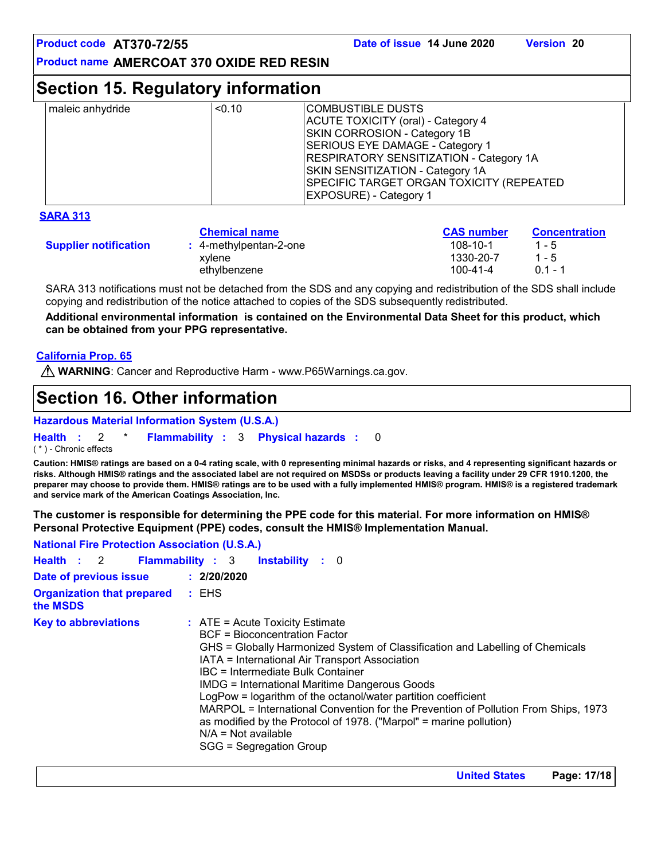### **Section 15. Regulatory information**

| < 0.10<br>maleic anhydride | COMBUSTIBLE DUSTS_<br>ACUTE TOXICITY (oral) - Category 4<br><b>SKIN CORROSION - Category 1B</b><br>SERIOUS EYE DAMAGE - Category 1<br><b>RESPIRATORY SENSITIZATION - Category 1A</b><br>SKIN SENSITIZATION - Category 1A<br>SPECIFIC TARGET ORGAN TOXICITY (REPEATED<br><b>EXPOSURE) - Category 1</b> |
|----------------------------|-------------------------------------------------------------------------------------------------------------------------------------------------------------------------------------------------------------------------------------------------------------------------------------------------------|
|----------------------------|-------------------------------------------------------------------------------------------------------------------------------------------------------------------------------------------------------------------------------------------------------------------------------------------------------|

#### **SARA 313**

|                              | <b>Chemical name</b>   | <b>CAS</b> number | <b>Concentration</b> |
|------------------------------|------------------------|-------------------|----------------------|
| <b>Supplier notification</b> | : 4-methylpentan-2-one | $108 - 10 - 1$    | $1 - 5$              |
|                              | xvlene                 | 1330-20-7         | $1 - 5$              |
|                              | ethylbenzene           | 100-41-4          | በ 1 - 1              |

SARA 313 notifications must not be detached from the SDS and any copying and redistribution of the SDS shall include copying and redistribution of the notice attached to copies of the SDS subsequently redistributed.

**Additional environmental information is contained on the Environmental Data Sheet for this product, which can be obtained from your PPG representative.**

#### **California Prop. 65**

**WARNING**: Cancer and Reproductive Harm - www.P65Warnings.ca.gov.

# **Section 16. Other information**

#### **Hazardous Material Information System (U.S.A.)**

**Health** : 2 \* **Flammability** : 3 **Physical hazards** : 0 0

( \* ) - Chronic effects

**Caution: HMIS® ratings are based on a 0-4 rating scale, with 0 representing minimal hazards or risks, and 4 representing significant hazards or risks. Although HMIS® ratings and the associated label are not required on MSDSs or products leaving a facility under 29 CFR 1910.1200, the preparer may choose to provide them. HMIS® ratings are to be used with a fully implemented HMIS® program. HMIS® is a registered trademark and service mark of the American Coatings Association, Inc.**

**The customer is responsible for determining the PPE code for this material. For more information on HMIS® Personal Protective Equipment (PPE) codes, consult the HMIS® Implementation Manual.**

| <b>National Fire Protection Association (U.S.A.)</b> |                                                                                                                                                                                                                                                                                                                                                                                                                                                                                                                                                                                              |  |
|------------------------------------------------------|----------------------------------------------------------------------------------------------------------------------------------------------------------------------------------------------------------------------------------------------------------------------------------------------------------------------------------------------------------------------------------------------------------------------------------------------------------------------------------------------------------------------------------------------------------------------------------------------|--|
| Health : 2                                           | <b>Flammability: 3</b><br><b>Instability</b> : 0                                                                                                                                                                                                                                                                                                                                                                                                                                                                                                                                             |  |
| Date of previous issue                               | : 2/20/2020                                                                                                                                                                                                                                                                                                                                                                                                                                                                                                                                                                                  |  |
| <b>Organization that prepared</b><br>the MSDS        | : EHS                                                                                                                                                                                                                                                                                                                                                                                                                                                                                                                                                                                        |  |
| <b>Key to abbreviations</b>                          | $\therefore$ ATE = Acute Toxicity Estimate<br>BCF = Bioconcentration Factor<br>GHS = Globally Harmonized System of Classification and Labelling of Chemicals<br>IATA = International Air Transport Association<br>IBC = Intermediate Bulk Container<br><b>IMDG = International Maritime Dangerous Goods</b><br>LogPow = logarithm of the octanol/water partition coefficient<br>MARPOL = International Convention for the Prevention of Pollution From Ships, 1973<br>as modified by the Protocol of 1978. ("Marpol" = marine pollution)<br>$N/A = Not available$<br>SGG = Segregation Group |  |